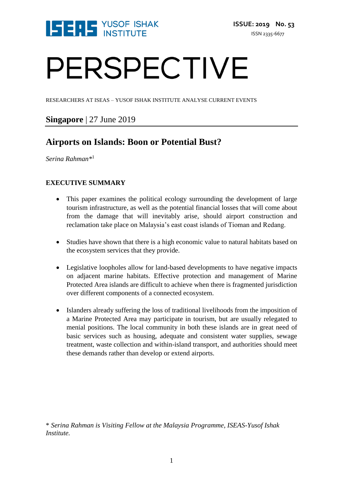

# PERSPECTIVE

RESEARCHERS AT ISEAS – YUSOF ISHAK INSTITUTE ANALYSE CURRENT EVENTS

### **Singapore** | 27 June 2019

## **Airports on Islands: Boon or Potential Bust?**

*Serina Rahman\** 1

#### **EXECUTIVE SUMMARY**

- This paper examines the political ecology surrounding the development of large tourism infrastructure, as well as the potential financial losses that will come about from the damage that will inevitably arise, should airport construction and reclamation take place on Malaysia's east coast islands of Tioman and Redang.
- Studies have shown that there is a high economic value to natural habitats based on the ecosystem services that they provide.
- Legislative loopholes allow for land-based developments to have negative impacts on adjacent marine habitats. Effective protection and management of Marine Protected Area islands are difficult to achieve when there is fragmented jurisdiction over different components of a connected ecosystem.
- Islanders already suffering the loss of traditional livelihoods from the imposition of a Marine Protected Area may participate in tourism, but are usually relegated to menial positions. The local community in both these islands are in great need of basic services such as housing, adequate and consistent water supplies, sewage treatment, waste collection and within-island transport, and authorities should meet these demands rather than develop or extend airports.

\* *Serina Rahman is Visiting Fellow at the Malaysia Programme, ISEAS-Yusof Ishak Institute.*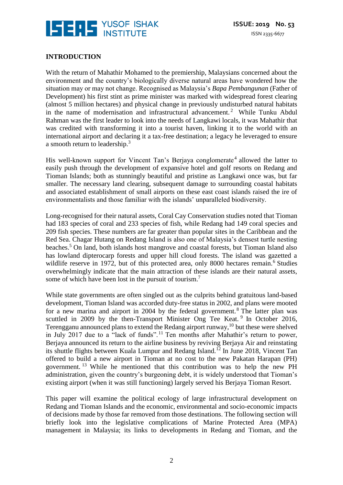

#### **INTRODUCTION**

With the return of Mahathir Mohamed to the premiership, Malaysians concerned about the environment and the country's biologically diverse natural areas have wondered how the situation may or may not change. Recognised as Malaysia's *Bapa Pembangunan* (Father of Development) his first stint as prime minister was marked with widespread forest clearing (almost 5 million hectares) and physical change in previously undisturbed natural habitats in the name of modernisation and infrastructural advancement.<sup>2</sup> While Tunku Abdul Rahman was the first leader to look into the needs of Langkawi locals, it was Mahathir that was credited with transforming it into a tourist haven, linking it to the world with an international airport and declaring it a tax-free destination; a legacy he leveraged to ensure a smooth return to leadership.<sup>3</sup>

His well-known support for Vincent Tan's Berjaya conglomerate<sup>4</sup> allowed the latter to easily push through the development of expansive hotel and golf resorts on Redang and Tioman Islands; both as stunningly beautiful and pristine as Langkawi once was, but far smaller. The necessary land clearing, subsequent damage to surrounding coastal habitats and associated establishment of small airports on these east coast islands raised the ire of environmentalists and those familiar with the islands' unparalleled biodiversity.

Long-recognised for their natural assets, Coral Cay Conservation studies noted that Tioman had 183 species of coral and 233 species of fish, while Redang had 149 coral species and 209 fish species. These numbers are far greater than popular sites in the Caribbean and the Red Sea. Chagar Hutang on Redang Island is also one of Malaysia's densest turtle nesting beaches.<sup>5</sup> On land, both islands host mangrove and coastal forests, but Tioman Island also has lowland dipterocarp forests and upper hill cloud forests. The island was gazetted a wildlife reserve in 1972, but of this protected area, only 8000 hectares remain.<sup>6</sup> Studies overwhelmingly indicate that the main attraction of these islands are their natural assets, some of which have been lost in the pursuit of tourism.<sup>7</sup>

While state governments are often singled out as the culprits behind gratuitous land-based development, Tioman Island was accorded duty-free status in 2002, and plans were mooted for a new marina and airport in 2004 by the federal government.<sup>8</sup> The latter plan was scuttled in 2009 by the then-Transport Minister Ong Tee Keat.<sup>9</sup> In October 2016, Terengganu announced plans to extend the Redang airport runway,<sup>10</sup> but these were shelved in July 2017 due to a "lack of funds".<sup>11</sup> Ten months after Mahathir's return to power, Berjaya announced its return to the airline business by reviving Berjaya Air and reinstating its shuttle flights between Kuala Lumpur and Redang Island.<sup>12</sup> In June 2018, Vincent Tan offered to build a new airport in Tioman at no cost to the new Pakatan Harapan (PH) government. <sup>13</sup> While he mentioned that this contribution was to help the new PH administration, given the country's burgeoning debt, it is widely understood that Tioman's existing airport (when it was still functioning) largely served his Berjaya Tioman Resort.

This paper will examine the political ecology of large infrastructural development on Redang and Tioman Islands and the economic, environmental and socio-economic impacts of decisions made by those far removed from those destinations. The following section will briefly look into the legislative complications of Marine Protected Area (MPA) management in Malaysia; its links to developments in Redang and Tioman, and the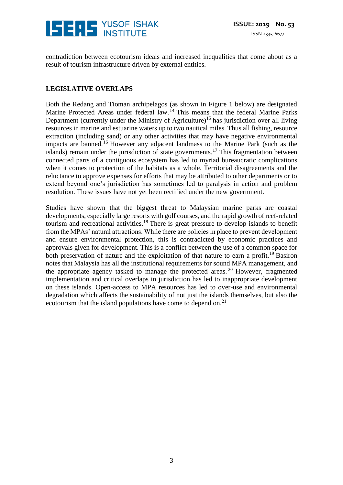

contradiction between ecotourism ideals and increased inequalities that come about as a result of tourism infrastructure driven by external entities.

#### **LEGISLATIVE OVERLAPS**

Both the Redang and Tioman archipelagos (as shown in Figure 1 below) are designated Marine Protected Areas under federal law.<sup>14</sup> This means that the federal Marine Parks Department (currently under the Ministry of Agriculture)<sup>15</sup> has jurisdiction over all living resources in marine and estuarine waters up to two nautical miles. Thus all fishing, resource extraction (including sand) or any other activities that may have negative environmental impacts are banned.<sup>16</sup> However any adjacent landmass to the Marine Park (such as the islands) remain under the jurisdiction of state governments.<sup>17</sup> This fragmentation between connected parts of a contiguous ecosystem has led to myriad bureaucratic complications when it comes to protection of the habitats as a whole. Territorial disagreements and the reluctance to approve expenses for efforts that may be attributed to other departments or to extend beyond one's jurisdiction has sometimes led to paralysis in action and problem resolution. These issues have not yet been rectified under the new government.

Studies have shown that the biggest threat to Malaysian marine parks are coastal developments, especially large resorts with golf courses, and the rapid growth of reef-related tourism and recreational activities.<sup>18</sup> There is great pressure to develop islands to benefit from the MPAs' natural attractions. While there are policies in place to prevent development and ensure environmental protection, this is contradicted by economic practices and approvals given for development. This is a conflict between the use of a common space for both preservation of nature and the exploitation of that nature to earn a profit.<sup>19</sup> Basiron notes that Malaysia has all the institutional requirements for sound MPA management, and the appropriate agency tasked to manage the protected areas. <sup>20</sup> However, fragmented implementation and critical overlaps in jurisdiction has led to inappropriate development on these islands. Open-access to MPA resources has led to over-use and environmental degradation which affects the sustainability of not just the islands themselves, but also the ecotourism that the island populations have come to depend on.<sup>21</sup>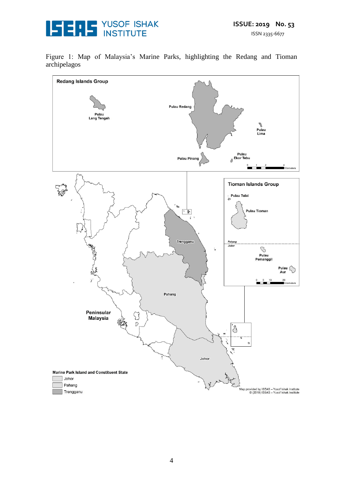

Figure 1: Map of Malaysia's Marine Parks, highlighting the Redang and Tioman archipelagos

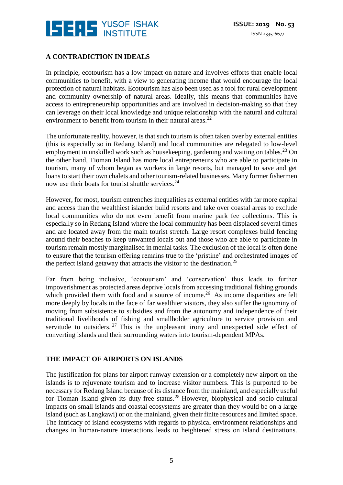

#### **A CONTRADICTION IN IDEALS**

In principle, ecotourism has a low impact on nature and involves efforts that enable local communities to benefit, with a view to generating income that would encourage the local protection of natural habitats. Ecotourism has also been used as a tool for rural development and community ownership of natural areas. Ideally, this means that communities have access to entrepreneurship opportunities and are involved in decision-making so that they can leverage on their local knowledge and unique relationship with the natural and cultural environment to benefit from tourism in their natural areas. $^{22}$ 

The unfortunate reality, however, is that such tourism is often taken over by external entities (this is especially so in Redang Island) and local communities are relegated to low-level employment in unskilled work such as housekeeping, gardening and waiting on tables.<sup>23</sup> On the other hand, Tioman Island has more local entrepreneurs who are able to participate in tourism, many of whom began as workers in large resorts, but managed to save and get loans to start their own chalets and other tourism-related businesses. Many former fishermen now use their boats for tourist shuttle services.<sup>24</sup>

However, for most, tourism entrenches inequalities as external entities with far more capital and access than the wealthiest islander build resorts and take over coastal areas to exclude local communities who do not even benefit from marine park fee collections. This is especially so in Redang Island where the local community has been displaced several times and are located away from the main tourist stretch. Large resort complexes build fencing around their beaches to keep unwanted locals out and those who are able to participate in tourism remain mostly marginalised in menial tasks. The exclusion of the local is often done to ensure that the tourism offering remains true to the 'pristine' and orchestrated images of the perfect island getaway that attracts the visitor to the destination.<sup>25</sup>

Far from being inclusive, 'ecotourism' and 'conservation' thus leads to further impoverishment as protected areas deprive locals from accessing traditional fishing grounds which provided them with food and a source of income.<sup>26</sup> As income disparities are felt more deeply by locals in the face of far wealthier visitors, they also suffer the ignominy of moving from subsistence to subsidies and from the autonomy and independence of their traditional livelihoods of fishing and smallholder agriculture to service provision and servitude to outsiders.  $27$  This is the unpleasant irony and unexpected side effect of converting islands and their surrounding waters into tourism-dependent MPAs.

#### **THE IMPACT OF AIRPORTS ON ISLANDS**

The justification for plans for airport runway extension or a completely new airport on the islands is to rejuvenate tourism and to increase visitor numbers. This is purported to be necessary for Redang Island because of its distance from the mainland, and especially useful for Tioman Island given its duty-free status.<sup>28</sup> However, biophysical and socio-cultural impacts on small islands and coastal ecosystems are greater than they would be on a large island (such as Langkawi) or on the mainland, given their finite resources and limited space. The intricacy of island ecosystems with regards to physical environment relationships and changes in human-nature interactions leads to heightened stress on island destinations.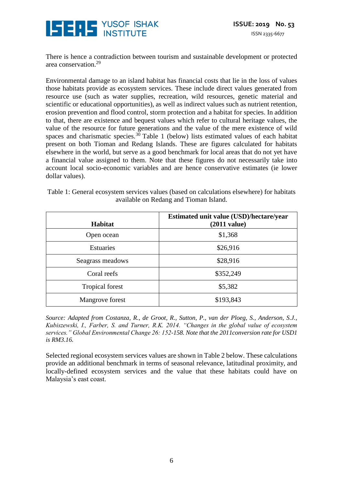

There is hence a contradiction between tourism and sustainable development or protected area conservation.<sup>29</sup>

Environmental damage to an island habitat has financial costs that lie in the loss of values those habitats provide as ecosystem services. These include direct values generated from resource use (such as water supplies, recreation, wild resources, genetic material and scientific or educational opportunities), as well as indirect values such as nutrient retention, erosion prevention and flood control, storm protection and a habitat for species. In addition to that, there are existence and bequest values which refer to cultural heritage values, the value of the resource for future generations and the value of the mere existence of wild spaces and charismatic species. $3\overline{0}$  Table 1 (below) lists estimated values of each habitat present on both Tioman and Redang Islands. These are figures calculated for habitats elsewhere in the world, but serve as a good benchmark for local areas that do not yet have a financial value assigned to them. Note that these figures do not necessarily take into account local socio-economic variables and are hence conservative estimates (ie lower dollar values).

|                                        | Table 1: General ecosystem services values (based on calculations elsewhere) for habitats |  |  |
|----------------------------------------|-------------------------------------------------------------------------------------------|--|--|
| available on Redang and Tioman Island. |                                                                                           |  |  |

| <b>Habitat</b>         | Estimated unit value (USD)/hectare/year<br>$(2011 \text{ value})$ |
|------------------------|-------------------------------------------------------------------|
| Open ocean             | \$1,368                                                           |
| <b>Estuaries</b>       | \$26,916                                                          |
| Seagrass meadows       | \$28,916                                                          |
| Coral reefs            | \$352,249                                                         |
| <b>Tropical forest</b> | \$5,382                                                           |
| Mangrove forest        | \$193,843                                                         |

*Source: Adapted from Costanza, R., de Groot, R., Sutton, P., van der Ploeg, S., Anderson, S.J., Kubiszewski, I., Farber, S. and Turner, R.K. 2014. "Changes in the global value of ecosystem services." Global Environmental Change 26: 152-158. Note that the 2011conversion rate for USD1 is RM3.16.*

Selected regional ecosystem services values are shown in Table 2 below. These calculations provide an additional benchmark in terms of seasonal relevance, latitudinal proximity, and locally-defined ecosystem services and the value that these habitats could have on Malaysia's east coast.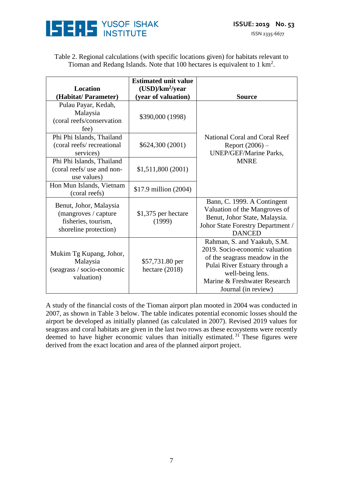

| Table 2. Regional calculations (with specific locations given) for habitats relevant to |
|-----------------------------------------------------------------------------------------|
| Tioman and Redang Islands. Note that 100 hectares is equivalent to $1 \text{ km}^2$ .   |

|                                                                                                                        | <b>Estimated unit value</b> |                                   |
|------------------------------------------------------------------------------------------------------------------------|-----------------------------|-----------------------------------|
| <b>Location</b>                                                                                                        | $(USD)/km^2$ /year          |                                   |
| (Habitat/Parameter)                                                                                                    | (year of valuation)         | <b>Source</b>                     |
| Pulau Payar, Kedah,                                                                                                    |                             |                                   |
| Malaysia                                                                                                               | \$390,000 (1998)            |                                   |
| (coral reefs/conservation                                                                                              |                             |                                   |
| fee)                                                                                                                   |                             |                                   |
| Phi Phi Islands, Thailand                                                                                              |                             | National Coral and Coral Reef     |
| (coral reefs/recreational                                                                                              | \$624,300 (2001)            | Report $(2006)$ –                 |
| services)                                                                                                              |                             | <b>UNEP/GEF/Marine Parks,</b>     |
| Phi Phi Islands, Thailand                                                                                              |                             | <b>MNRE</b>                       |
| (coral reefs/ use and non-                                                                                             | \$1,511,800 (2001)          |                                   |
| use values)                                                                                                            |                             |                                   |
| Hon Mun Islands, Vietnam                                                                                               | \$17.9 million (2004)       |                                   |
| (coral reefs)                                                                                                          |                             |                                   |
| Benut, Johor, Malaysia                                                                                                 |                             | Bann, C. 1999. A Contingent       |
| (mangroves / capture                                                                                                   | \$1,375 per hectare         | Valuation of the Mangroves of     |
| fisheries, tourism,                                                                                                    | (1999)                      | Benut, Johor State, Malaysia.     |
| shoreline protection)                                                                                                  |                             | Johor State Forestry Department / |
|                                                                                                                        |                             | <b>DANCED</b>                     |
|                                                                                                                        |                             | Rahman, S. and Yaakub, S.M.       |
| Mukim Tg Kupang, Johor,<br>Malaysia<br>\$57,731.80 per<br>(seagrass / socio-economic<br>hectare $(2018)$<br>valuation) |                             | 2019. Socio-economic valuation    |
|                                                                                                                        |                             | of the seagrass meadow in the     |
|                                                                                                                        |                             | Pulai River Estuary through a     |
|                                                                                                                        |                             | well-being lens.                  |
|                                                                                                                        |                             | Marine & Freshwater Research      |
|                                                                                                                        |                             | Journal (in review)               |

A study of the financial costs of the Tioman airport plan mooted in 2004 was conducted in 2007, as shown in Table 3 below. The table indicates potential economic losses should the airport be developed as initially planned (as calculated in 2007). Revised 2019 values for seagrass and coral habitats are given in the last two rows as these ecosystems were recently deemed to have higher economic values than initially estimated.<sup>31</sup> These figures were derived from the exact location and area of the planned airport project.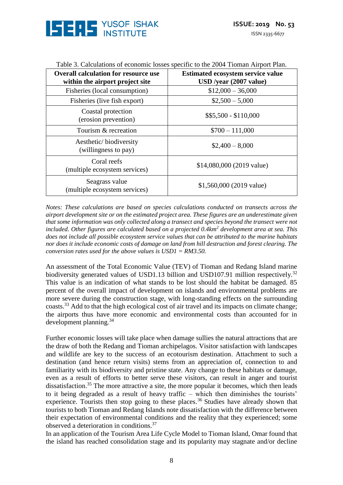

| <b>Overall calculation for resource use</b><br>within the airport project site | <b>Estimated ecosystem service value</b><br>USD /year (2007 value) |
|--------------------------------------------------------------------------------|--------------------------------------------------------------------|
| Fisheries (local consumption)                                                  | $$12,000 - 36,000$                                                 |
| Fisheries (live fish export)                                                   | $$2,500 - 5,000$                                                   |
| Coastal protection<br>(erosion prevention)                                     | $$5,500 - $110,000$                                                |
| Tourism & recreation                                                           | $$700 - 111,000$                                                   |
| Aesthetic/biodiversity<br>(willingness to pay)                                 | $$2,400 - 8,000$                                                   |
| Coral reefs<br>(multiple ecosystem services)                                   | \$14,080,000 (2019 value)                                          |
| Seagrass value<br>(multiple ecosystem services)                                | $$1,560,000(2019 \text{ value})$                                   |

Table 3. Calculations of economic losses specific to the 2004 Tioman Airport Plan.

*Notes: These calculations are based on species calculations conducted on transects across the airport development site or on the estimated project area. These figures are an underestimate given that some information was only collected along a transect and species beyond the transect were not included. Other figures are calculated based on a projected 0.4km<sup>2</sup> development area at sea. This does not include all possible ecosystem service values that can be attributed to the marine habitats nor does it include economic costs of damage on land from hill destruction and forest clearing. The conversion rates used for the above values is USD1 = RM3.50.*

An assessment of the Total Economic Value (TEV) of Tioman and Redang Island marine biodiversity generated values of USD1.13 billion and USD107.91 million respectively.<sup>32</sup> This value is an indication of what stands to be lost should the habitat be damaged. 85 percent of the overall impact of development on islands and environmental problems are more severe during the construction stage, with long-standing effects on the surrounding coasts.<sup>33</sup> Add to that the high ecological cost of air travel and its impacts on climate change; the airports thus have more economic and environmental costs than accounted for in development planning.<sup>34</sup>

Further economic losses will take place when damage sullies the natural attractions that are the draw of both the Redang and Tioman archipelagos. Visitor satisfaction with landscapes and wildlife are key to the success of an ecotourism destination. Attachment to such a destination (and hence return visits) stems from an appreciation of, connection to and familiarity with its biodiversity and pristine state. Any change to these habitats or damage, even as a result of efforts to better serve these visitors, can result in anger and tourist dissatisfaction.<sup>35</sup> The more attractive a site, the more popular it becomes, which then leads to it being degraded as a result of heavy traffic – which then diminishes the tourists' experience. Tourists then stop going to these places.<sup>36</sup> Studies have already shown that tourists to both Tioman and Redang Islands note dissatisfaction with the difference between their expectation of environmental conditions and the reality that they experienced; some observed a deterioration in conditions.<sup>37</sup>

In an application of the Tourism Area Life Cycle Model to Tioman Island, Omar found that the island has reached consolidation stage and its popularity may stagnate and/or decline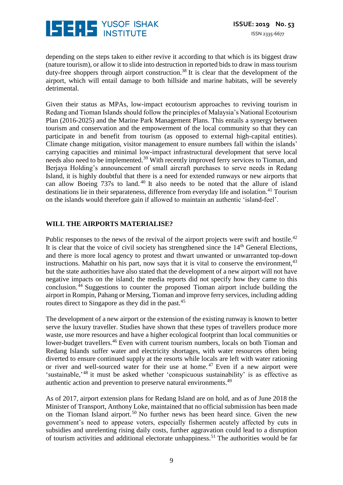

depending on the steps taken to either revive it according to that which is its biggest draw (nature tourism), or allow it to slide into destruction in reported bids to draw in mass tourism duty-free shoppers through airport construction.<sup>38</sup> It is clear that the development of the airport, which will entail damage to both hillside and marine habitats, will be severely detrimental.

Given their status as MPAs, low-impact ecotourism approaches to reviving tourism in Redang and Tioman Islands should follow the principles of Malaysia's National Ecotourism Plan (2016-2025) and the Marine Park Management Plans. This entails a synergy between tourism and conservation and the empowerment of the local community so that they can participate in and benefit from tourism (as opposed to external high-capital entities). Climate change mitigation, visitor management to ensure numbers fall within the islands' carrying capacities and minimal low-impact infrastructural development that serve local needs also need to be implemented.<sup>39</sup> With recently improved ferry services to Tioman, and Berjaya Holding's announcement of small aircraft purchases to serve needs in Redang Island, it is highly doubtful that there is a need for extended runways or new airports that can allow Boeing 737s to land.<sup>40</sup> It also needs to be noted that the allure of island destinations lie in their separateness, difference from everyday life and isolation.<sup>41</sup> Tourism on the islands would therefore gain if allowed to maintain an authentic 'island-feel'.

#### **WILL THE AIRPORTS MATERIALISE?**

Public responses to the news of the revival of the airport projects were swift and hostile.<sup>42</sup> It is clear that the voice of civil society has strengthened since the 14<sup>th</sup> General Elections, and there is more local agency to protest and thwart unwanted or unwarranted top-down instructions. Mahathir on his part, now says that it is vital to conserve the environment,  $43$ but the state authorities have also stated that the development of a new airport will not have negative impacts on the island; the media reports did not specify how they came to this conclusion.<sup> $44$ </sup> Suggestions to counter the proposed Tioman airport include building the airport in Rompin, Pahang or Mersing, Tioman and improve ferry services, including adding routes direct to Singapore as they did in the past.<sup>45</sup>

The development of a new airport or the extension of the existing runway is known to better serve the luxury traveller. Studies have shown that these types of travellers produce more waste, use more resources and have a higher ecological footprint than local communities or lower-budget travellers.<sup>46</sup> Even with current tourism numbers, locals on both Tioman and Redang Islands suffer water and electricity shortages, with water resources often being diverted to ensure continued supply at the resorts while locals are left with water rationing or river and well-sourced water for their use at home.<sup>47</sup> Even if a new airport were 'sustainable,'<sup>48</sup> it must be asked whether 'conspicuous sustainability' is as effective as authentic action and prevention to preserve natural environments.<sup>49</sup>

As of 2017, airport extension plans for Redang Island are on hold, and as of June 2018 the Minister of Transport, Anthony Loke, maintained that no official submission has been made on the Tioman Island airport.<sup>50</sup> No further news has been heard since. Given the new government's need to appease voters, especially fishermen acutely affected by cuts in subsidies and unrelenting rising daily costs, further aggravation could lead to a disruption of tourism activities and additional electorate unhappiness.<sup>51</sup> The authorities would be far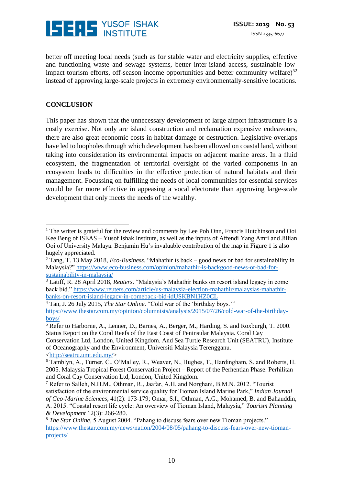

better off meeting local needs (such as for stable water and electricity supplies, effective and functioning waste and sewage systems, better inter-island access, sustainable lowimpact tourism efforts, off-season income opportunities and better community welfare) $52$ instead of approving large-scale projects in extremely environmentally-sensitive locations.

#### **CONCLUSION**

 $\overline{a}$ 

This paper has shown that the unnecessary development of large airport infrastructure is a costly exercise. Not only are island construction and reclamation expensive endeavours, there are also great economic costs in habitat damage or destruction. Legislative overlaps have led to loopholes through which development has been allowed on coastal land, without taking into consideration its environmental impacts on adjacent marine areas. In a fluid ecosystem, the fragmentation of territorial oversight of the varied components in an ecosystem leads to difficulties in the effective protection of natural habitats and their management. Focussing on fulfilling the needs of local communities for essential services would be far more effective in appeasing a vocal electorate than approving large-scale development that only meets the needs of the wealthy.

Conservation Ltd, London, United Kingdom. And Sea Turtle Research Unit (SEATRU), Institute of Oceanography and the Environment, Universiti Malaysia Terengganu. [<http://seatru.umt.edu.my/>](http://seatru.umt.edu.my/)

<sup>&</sup>lt;sup>1</sup> The writer is grateful for the review and comments by Lee Poh Onn, Francis Hutchinson and Ooi Kee Beng of ISEAS – Yusof Ishak Institute, as well as the inputs of Affendi Yang Amri and Jillian Ooi of University Malaya. Benjamin Hu's invaluable contribution of the map in Figure 1 is also hugely appreciated.

<sup>2</sup> Tang, T. 13 May 2018, *Eco-Business*. "Mahathir is back – good news or bad for sustainability in Malaysia?" [https://www.eco-business.com/opinion/mahathir-is-backgood-news-or-bad-for](https://www.eco-business.com/opinion/mahathir-is-backgood-news-or-bad-for-sustainability-in-malaysia/)[sustainability-in-malaysia/](https://www.eco-business.com/opinion/mahathir-is-backgood-news-or-bad-for-sustainability-in-malaysia/)

<sup>3</sup> Latiff, R. 28 April 2018, *Reuters*. "Malaysia's Mahathir banks on resort island legacy in come back bid." [https://www.reuters.com/article/us-malaysia-election-mahathir/malaysias-mahathir](https://www.reuters.com/article/us-malaysia-election-mahathir/malaysias-mahathir-banks-on-resort-island-legacy-in-comeback-bid-idUSKBN1HZ0CL)[banks-on-resort-island-legacy-in-comeback-bid-idUSKBN1HZ0CL](https://www.reuters.com/article/us-malaysia-election-mahathir/malaysias-mahathir-banks-on-resort-island-legacy-in-comeback-bid-idUSKBN1HZ0CL)

<sup>4</sup> Tan, J. 26 July 2015, *The Star Online*. "Cold war of the 'birthday boys.'" [https://www.thestar.com.my/opinion/columnists/analysis/2015/07/26/cold-war-of-the-birthday](https://www.thestar.com.my/opinion/columnists/analysis/2015/07/26/cold-war-of-the-birthday-boys/)[boys/](https://www.thestar.com.my/opinion/columnists/analysis/2015/07/26/cold-war-of-the-birthday-boys/)

<sup>5</sup> Refer to Harborne, A., Lenner, D., Barnes, A., Berger, M., Harding, S. and Roxburgh, T. 2000. Status Report on the Coral Reefs of the East Coast of Peninsular Malaysia. Coral Cay

<sup>6</sup> Tamblyn, A., Turner, C., O'Malley, R., Weaver, N., Hughes, T., Hardingham, S. and Roberts, H. 2005. Malaysia Tropical Forest Conservation Project – Report of the Perhentian Phase. Perhilitan and Coral Cay Conservation Ltd, London, United Kingdom.

<sup>7</sup> Refer to Salleh, N.H.M., Othman, R., Jaafar, A.H. and Norghani, B.M.N. 2012. "Tourist satisfaction of the environmental service quality for Tioman Island Marine Park," *Indian Journal of Geo-Marine Sciences*, 41(2): 173-179; Omar, S.I., Othman, A.G., Mohamed, B. and Bahauddin, A. 2015. "Coastal resort life cycle: An overview of Tioman Island, Malaysia," *Tourism Planning & Development* 12(3): 266-280.

<sup>8</sup> *The Star Online*, 5 August 2004. "Pahang to discuss fears over new Tioman projects." [https://www.thestar.com.my/news/nation/2004/08/05/pahang-to-discuss-fears-over-new-tioman](https://www.thestar.com.my/news/nation/2004/08/05/pahang-to-discuss-fears-over-new-tioman-projects/)[projects/](https://www.thestar.com.my/news/nation/2004/08/05/pahang-to-discuss-fears-over-new-tioman-projects/)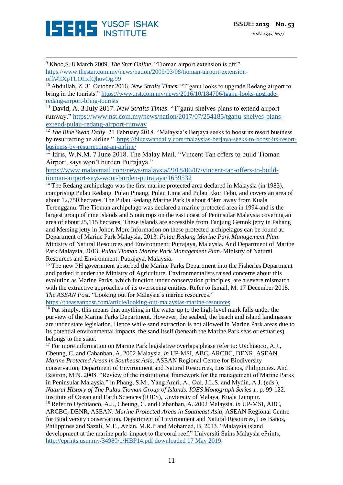

<u>.</u>

<sup>9</sup> Khoo,S. 8 March 2009. *The Star Online*. "Tioman airport extension is off." [https://www.thestar.com.my/news/nation/2009/03/08/tioman-airport-extension](https://www.thestar.com.my/news/nation/2009/03/08/tioman-airport-extension-off/#lIXpTLOLxfQhovOg.99)[off/#lIXpTLOLxfQhovOg.99](https://www.thestar.com.my/news/nation/2009/03/08/tioman-airport-extension-off/#lIXpTLOLxfQhovOg.99)

<sup>10</sup> Abdullah, Z. 31 October 2016. *New Straits Times*. "T'ganu looks to upgrade Redang airport to bring in the tourists." [https://www.nst.com.my/news/2016/10/184706/tganu-looks-upgrade](https://www.nst.com.my/news/2016/10/184706/tganu-looks-upgrade-redang-airport-bring-tourists)[redang-airport-bring-tourists](https://www.nst.com.my/news/2016/10/184706/tganu-looks-upgrade-redang-airport-bring-tourists)

<sup>11</sup> David, A. 3 July 2017. *New Straits Times*. "T'ganu shelves plans to extend airport runway." [https://www.nst.com.my/news/nation/2017/07/254185/tganu-shelves-plans](https://www.nst.com.my/news/nation/2017/07/254185/tganu-shelves-plans-extend-pulau-redang-airport-runway)[extend-pulau-redang-airport-runway](https://www.nst.com.my/news/nation/2017/07/254185/tganu-shelves-plans-extend-pulau-redang-airport-runway)

<sup>12</sup> *The Blue Swan Daily.* 21 February 2018. "Malaysia's Berjaya seeks to boost its resort business by resurrecting an airline." [https://blueswandaily.com/malaysias-berjaya-seeks-to-boost-its-resort](https://blueswandaily.com/malaysias-berjaya-seeks-to-boost-its-resort-business-by-resurrecting-an-airline/)[business-by-resurrecting-an-airline/](https://blueswandaily.com/malaysias-berjaya-seeks-to-boost-its-resort-business-by-resurrecting-an-airline/)

<sup>13</sup> Idris, W.N.M. 7 June 2018. The Malay Mail. "Vincent Tan offers to build Tioman Airport, says won't burden Putrajaya."

[https://www.malaymail.com/news/malaysia/2018/06/07/vincent-tan-offers-to-build](https://www.malaymail.com/news/malaysia/2018/06/07/vincent-tan-offers-to-build-tioman-airport-says-wont-burden-putrajaya/1639532)[tioman-airport-says-wont-burden-putrajaya/1639532](https://www.malaymail.com/news/malaysia/2018/06/07/vincent-tan-offers-to-build-tioman-airport-says-wont-burden-putrajaya/1639532)

 $14$  The Redang archipelago was the first marine protected area declared in Malaysia (in 1983), comprising Pulau Redang, Pulau Pinang, Pulau Lima and Pulau Ekor Tebu, and covers an area of about 12,750 hectares. The Pulau Redang Marine Park is about 45km away from Kuala Terengganu. The Tioman archipelago was declared a marine protected area in 1994 and is the largest group of nine islands and 5 outcrops on the east coast of Peninsular Malaysia covering an area of about 25,115 hectares. These islands are accessible from Tanjung Gemok jetty in Pahang and Mersing jetty in Johor. More information on these protected archipelagos can be found at: Department of Marine Park Malaysia, 2013. *Pulau Redang Marine Park Management Plan*. Ministry of Natural Resources and Environment: Putrajaya, Malaysia. And Department of Marine Park Malaysia, 2013. *Pulau Tioman Marine Park Management Plan*. Ministry of Natural Resources and Environment: Putrajaya, Malaysia.

<sup>15</sup> The new PH government absorbed the Marine Parks Department into the Fisheries Department and parked it under the Ministry of Agriculture. Environmentalists raised concerns about this evolution as Marine Parks, which function under conservation principles, are a severe mismatch with the extractive approaches of its overseeing entities. Refer to Ismail, M. 17 December 2018. *The ASEAN Post*. "Looking out for Malaysia's marine resources."

<https://theaseanpost.com/article/looking-out-malaysias-marine-resources>

<sup>16</sup> Put simply, this means that anything in the water up to the high-level mark falls under the purview of the Marine Parks Department. However, the seabed, the beach and island landmasses are under state legislation. Hence while sand extraction is not allowed in Marine Park areas due to its potential environmental impacts, the sand itself (beneath the Marine Park seas or estuaries) belongs to the state.

<sup>17</sup> For more information on Marine Park legislative overlaps please refer to: Uychiaoco, A.J., Cheung, C. and Cabanban, A. 2002 Malaysia. *in* UP-MSI, ABC, ARCBC, DENR, ASEAN. *Marine Protected Areas in Southeast Asia*, ASEAN Regional Centre for Biodiversity conservation, Department of Environment and Natural Resources, Los Baños, Philippines. And Basiron, M.N. 2008. "Review of the institutional framework for the management of Marine Parks in Peninsular Malaysia," in Phang, S.M., Yang Amri, A., Ooi, J.L.S. and Mydin, A.J. (eds.), *Natural History of The Pulau Tioman Group of Islands. IOES Monograph Series 1*, p. 99-122. Institute of Ocean and Earth Sciences (IOES), Unviersity of Malaya, Kuala Lumpur.

<sup>18</sup> Refer to Uychiaoco, A.J., Cheung, C. and Cabanban, A. 2002 Malaysia. *in* UP-MSI, ABC, ARCBC, DENR, ASEAN. *Marine Protected Areas in Southeast Asia*, ASEAN Regional Centre for Biodiversity conservation, Department of Environment and Natural Resources, Los Baños, Philippines and Sazali, M.F., Azlan, M.R.P and Mohamed, B. 2013. "Malaysia island development at the marine park: impact to the coral reef," Universiti Sains Malaysia ePrints, [http://eprints.usm.my/34980/1/HBP14.pdf downloaded 17 May 2019.](http://eprints.usm.my/34980/1/HBP14.pdf%20downloaded%2017%20May%202019)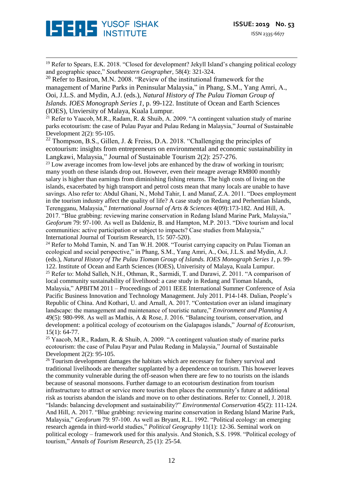

<u>.</u> <sup>19</sup> Refer to Spears, E.K. 2018. "Closed for development? Jekyll Island's changing political ecology and geographic space," *Southeastern Geographer*, 58(4): 321-324.

 $20$  Refer to Basiron, M.N. 2008. "Review of the institutional framework for the management of Marine Parks in Peninsular Malaysia," in Phang, S.M., Yang Amri, A., Ooi, J.L.S. and Mydin, A.J. (eds.), *Natural History of The Pulau Tioman Group of Islands. IOES Monograph Series 1*, p. 99-122. Institute of Ocean and Earth Sciences (IOES), Unviersity of Malaya, Kuala Lumpur.

<sup>21</sup> Refer to Yaacob, M.R., Radam, R. & Shuib, A. 2009. "A contingent valuation study of marine parks ecotourism: the case of Pulau Payar and Pulau Redang in Malaysia," Journal of Sustainable Development 2(2): 95-105.

<sup>22</sup> Thompson, B.S., Gillen, J. & Freiss, D.A. 2018. "Challenging the principles of ecotourism: insights from entrepreneurs on environmental and economic sustainability in Langkawi, Malaysia," Journal of Sustainable Tourism 2(2): 257-276.

 $^{23}$  Low average incomes from low-level jobs are enhanced by the draw of working in tourism; many youth on these islands drop out. However, even their meagre average RM800 monthly salary is higher than earnings from diminishing fishing returns. The high costs of living on the islands, exacerbated by high transport and petrol costs mean that many locals are unable to have savings. Also refer to: Abdul Ghani, N., Mohd Tahir, I. and Manaf, Z.A. 2011. "Does employment in the tourism industry affect the quality of life? A case study on Redang and Perhentian Islands, Terengganu, Malaysia," *International Journal of Arts & Sciences* 4(09):173-182. And Hill, A. 2017. "Blue grabbing: reviewing marine conservation in Redang Island Marine Park, Malaysia," *Geoforum* 79: 97-100. As well as Daldeniz, B. and Hampton, M.P. 2013. "Dive tourism and local communities: active participation or subject to impacts? Case studies from Malaysia," International Journal of Tourism Research, 15: 507-520).

 $24$  Refer to Mohd Tamin, N. and Tan W.H. 2008. "Tourist carrying capacity on Pulau Tioman an ecological and social perspective," in Phang, S.M., Yang Amri, A., Ooi, J.L.S. and Mydin, A.J. (eds.), *Natural History of The Pulau Tioman Group of Islands. IOES Monograph Series 1*, p. 99- 122. Institute of Ocean and Earth Sciences (IOES), Univerisity of Malaya, Kuala Lumpur. <sup>25</sup> Refer to: Mohd Salleh, N.H., Othman, R., Sarmidi, T. and Darawi, Z. 2011. "A comparison of local community sustainability of livelihood: a case study in Redang and Tioman Islands, Malaysia," APBITM 2011 – Proceedings of 2011 IEEE International Summer Conference of Asia Pacific Business Innovation and Technology Management. July 2011. P14-148. Dalian, People's Republic of China. And Kothari, U. and Arnall, A. 2017. "Contestation over an island imaginary landscape: the management and maintenance of touristic nature," *Environment and Planning A* 49(5): 980-998. As well as Mathis, A & Rose, J. 2016. "Balancing tourism, conservation, and development: a political ecology of ecotourism on the Galapagos islands," *Journal of Ecotourism*, 15(1): 64-77.

<sup>25</sup> Yaacob, M.R., Radam, R. & Shuib, A. 2009. "A contingent valuation study of marine parks ecotourism: the case of Pulau Payar and Pulau Redang in Malaysia," Journal of Sustainable Development 2(2): 95-105.

 $26$  Tourism development damages the habitats which are necessary for fishery survival and traditional livelihoods are thereafter supplanted by a dependence on tourism. This however leaves the community vulnerable during the off-season when there are few to no tourists on the islands because of seasonal monsoons. Further damage to an ecotourism destination from tourism infrastructure to attract or service more tourists then places the community's future at additional risk as tourists abandon the islands and move on to other destinations. Refer to: Connell, J. 2018. "Islands: balancing development and sustainability?" *Environmental Conservation* 45(2): 111-124. And Hill, A. 2017. "Blue grabbing: reviewing marine conservation in Redang Island Marine Park, Malaysia," *Geoforum* 79: 97-100. As well as Bryant, R.L. 1992. "Political ecology: an emerging research agenda in third-world studies," *Political Geography* 11(1): 12-36. Seminal work on political ecology – framework used for this analysis. And Stonich, S.S. 1998. "Political ecology of tourism," *Annals of Tourism Research*, 25 (1): 25-54.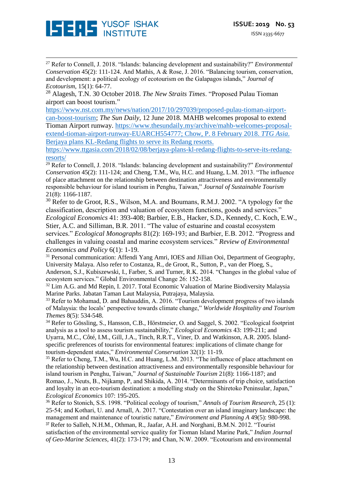

<u>.</u>

<sup>27</sup> Refer to Connell, J. 2018. "Islands: balancing development and sustainability?" *Environmental Conservation* 45(2): 111-124. And Mathis, A & Rose, J. 2016. "Balancing tourism, conservation, and development: a political ecology of ecotourism on the Galapagos islands," *Journal of Ecotourism*, 15(1): 64-77.

<sup>28</sup> Alagesh, T.N. 30 October 2018. *The New Straits Times*. "Proposed Pulau Tioman airport can boost tourism."

[https://www.nst.com.my/news/nation/2017/10/297039/proposed-pulau-tioman-airport](https://www.nst.com.my/news/nation/2017/10/297039/proposed-pulau-tioman-airport-can-boost-tourism)[can-boost-tourism;](https://www.nst.com.my/news/nation/2017/10/297039/proposed-pulau-tioman-airport-can-boost-tourism) *The Sun Daily*, 12 June 2018. MAHB welcomes proposal to extend Tioman Airport runway. [https://www.thesundaily.my/archive/mahb-welcomes-proposal](https://www.thesundaily.my/archive/mahb-welcomes-proposal-extend-tioman-airport-runway-EUARCH554777)[extend-tioman-airport-runway-EUARCH554777;](https://www.thesundaily.my/archive/mahb-welcomes-proposal-extend-tioman-airport-runway-EUARCH554777) Chow, P. 8 February 2018. *TTG Asia*. Berjaya plans KL-Redang flights to serve its Redang resorts.

[https://www.ttgasia.com/2018/02/08/berjaya-plans-kl-redang-flights-to-serve-its-redang](https://www.ttgasia.com/2018/02/08/berjaya-plans-kl-redang-flights-to-serve-its-redang-resorts/)[resorts/](https://www.ttgasia.com/2018/02/08/berjaya-plans-kl-redang-flights-to-serve-its-redang-resorts/)

<sup>29</sup> Refer to Connell, J. 2018. "Islands: balancing development and sustainability?" *Environmental Conservation* 45(2): 111-124; and Cheng, T.M., Wu, H.C. and Huang, L.M. 2013. "The influence of place attachment on the relationship between destination attractiveness and environmentally responsible behaviour for island tourism in Penghu, Taiwan," *Journal of Sustainable Tourism* 21(8): 1166-1187.

<sup>30</sup> Refer to de Groot, R.S., Wilson, M.A. and Boumans, R.M.J. 2002. "A typology for the classification, description and valuation of ecosystem functions, goods and services."

*Ecological Economics* 41: 393-408; Barbier, E.B., Hacker, S.D., Kennedy, C. Koch, E.W., Stier, A.C. and Silliman, B.R. 2011. "The value of estuarine and coastal ecosystem services." *Ecological Monographs* 81(2): 169-193; and Barbier, E.B. 2012. "Progress and challenges in valuing coastal and marine ecosystem services." *Review of Environmental Economics and Policy* 6(1): 1-19.

<sup>31</sup> Personal communication: Affendi Yang Amri, IOES and Jillian Ooi, Department of Geography, University Malaya. Also refer to Costanza, R., de Groot, R., Sutton, P., van der Ploeg, S.,

Anderson, S.J., Kubiszewski, I., Farber, S. and Turner, R.K. 2014. "Changes in the global value of ecosystem services." Global Environmental Change 26: 152-158.

<sup>32</sup> Lim A.G. and Md Repin, I. 2017. Total Economic Valuation of Marine Biodiversity Malaysia Marine Parks. Jabatan Taman Laut Malaysia, Putrajaya, Malaysia.

<sup>33</sup> Refer to Mohamad, D. and Bahauddin, A. 2016. "Tourism development progress of two islands of Malaysia: the locals' perspective towards climate change," *Worldwide Hospitality and Tourism Themes* 8(5): 534-548.

<sup>34</sup> Refer to Gössling, S., Hansson, C.B., Hörstmeier, O. and Saggel, S. 2002. "Ecological footprint analysis as a tool to assess tourism sustainability," *Ecological Economics* 43: 199-211; and Uyarra, M.C., Côté, I.M., Gill, J.A., Tinch, R.R.T., Viner, D. and Watkinson, A.R. 2005. Islandspecific preferences of tourists for environmental features: implications of climate change for tourism-dependent states," *Environmental Conservation* 32(1): 11-19.

<sup>35</sup> Refer to Cheng, T.M., Wu, H.C. and Huang, L.M. 2013. "The influence of place attachment on the relationship between destination attractiveness and environmentally responsible behaviour for island tourism in Penghu, Taiwan," *Journal of Sustainable Tourism* 21(8): 1166-1187; and Romao, J., Neuts, B., Nijkamp, P, and Shikida, A. 2014. "Determinants of trip choice, satisfaction and loyalty in an eco-tourism destination: a modelling study on the Shiretoko Peninsular, Japan," *Ecological Economics* 107: 195-205.

<sup>36</sup> Refer to Stonich, S.S. 1998. "Political ecology of tourism," *Annals of Tourism Research*, 25 (1): 25-54; and Kothari, U. and Arnall, A. 2017. "Contestation over an island imaginary landscape: the management and maintenance of touristic nature," *Environment and Planning A* 49(5): 980-998. <sup>37</sup> Refer to Salleh, N.H.M., Othman, R., Jaafar, A.H. and Norghani, B.M.N. 2012. "Tourist

satisfaction of the environmental service quality for Tioman Island Marine Park," *Indian Journal of Geo-Marine Sciences*, 41(2): 173-179; and Chan, N.W. 2009. "Ecotourism and environmental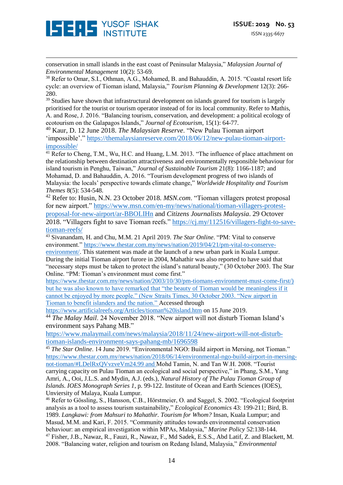<u>.</u> conservation in small islands in the east coast of Peninsular Malaysia," *Malaysian Journal of Environmental Management* 10(2): 53-69.

<sup>38</sup> Refer to Omar, S.I., Othman, A.G., Mohamed, B. and Bahauddin, A. 2015. "Coastal resort life cycle: an overview of Tioman island, Malaysia," *Tourism Planning & Development* 12(3): 266- 280.

<sup>39</sup> Studies have shown that infrastructural development on islands geared for tourism is largely prioritised for the tourist or tourism operator instead of for its local community. Refer to Mathis, A. and Rose, J. 2016. "Balancing tourism, conservation, and development: a political ecology of ecotourism on the Galapagos Islands," *Journal of Ecotourism*, 15(1): 64-77.

<sup>40</sup> Kaur, D. 12 June 2018. *The Malaysian Reserve*. "New Pulau Tioman airport 'impossible'." [https://themalaysianreserve.com/2018/06/12/new-pulau-tioman-airport](https://themalaysianreserve.com/2018/06/12/new-pulau-tioman-airport-impossible/)[impossible/](https://themalaysianreserve.com/2018/06/12/new-pulau-tioman-airport-impossible/)

<sup>41</sup> Refer to Cheng, T.M., Wu, H.C. and Huang, L.M. 2013. "The influence of place attachment on the relationship between destination attractiveness and environmentally responsible behaviour for island tourism in Penghu, Taiwan," *Journal of Sustainable Tourism* 21(8): 1166-1187; and Mohamad, D. and Bahauddin, A. 2016. "Tourism development progress of two islands of Malaysia: the locals' perspective towards climate change," *Worldwide Hospitality and Tourism Themes* 8(5): 534-548.

<sup>42</sup> Refer to: Husin, N.N. 23 October 2018. *MSN.com*. "Tioman villagers protest proposal for new airport." [https://www.msn.com/en-my/news/national/tioman-villagers-protest](https://www.msn.com/en-my/news/national/tioman-villagers-protest-proposal-for-new-airport/ar-BBOLIHn)[proposal-for-new-airport/ar-BBOLIHn](https://www.msn.com/en-my/news/national/tioman-villagers-protest-proposal-for-new-airport/ar-BBOLIHn) and *Citizens Journalists Malaysia*. 29 Octover 2018. "Villagers fight to save Tioman reefs." [https://cj.my/112516/villagers-fight-to-save](https://cj.my/112516/villagers-fight-to-save-tioman-reefs/)[tioman-reefs/](https://cj.my/112516/villagers-fight-to-save-tioman-reefs/)

<sup>43</sup> Sivanandam, H. and Chu, M.M. 21 April 2019. *The Star Online*. "PM: Vital to conserve environment." [https://www.thestar.com.my/news/nation/2019/04/21/pm-vital-to-conserve-](https://www.thestar.com.my/news/nation/2019/04/21/pm-vital-to-conserve-environment/)

[environment/.](https://www.thestar.com.my/news/nation/2019/04/21/pm-vital-to-conserve-environment/) This statement was made at the launch of a new urban park in Kuala Lumpur. During the initial Tioman airport furore in 2004, Mahathir was also reported to have said that "necessary steps must be taken to protect the island's natural beauty," (30 October 2003. The Star Online. "PM: Tioman's environment must come first."

[https://www.thestar.com.my/news/nation/2003/10/30/pm-tiomans-environment-must-come-first/\)](https://www.thestar.com.my/news/nation/2003/10/30/pm-tiomans-environment-must-come-first/) but he was also known to have remarked that "the beauty of Tioman would be meaningless if it cannot be enjoyed by more people." (New Straits Times, 30 October 2003. "New airport in Tioman to benefit islanders and the nation." Accessed through

<https://www.artificialreefs.org/Articles/tioman%20island.htm> on 15 June 2019.

<sup>44</sup> *The Malay Mail*. 24 November 2018. "New airport will not disturb Tioman Island's environment says Pahang MB."

[https://www.malaymail.com/news/malaysia/2018/11/24/new-airport-will-not-disturb](https://www.malaymail.com/news/malaysia/2018/11/24/new-airport-will-not-disturb-tioman-islands-environment-says-pahang-mb/1696598)[tioman-islands-environment-says-pahang-mb/1696598](https://www.malaymail.com/news/malaysia/2018/11/24/new-airport-will-not-disturb-tioman-islands-environment-says-pahang-mb/1696598)

<sup>45</sup> *The Star Online*. 14 June 2019. "Environmental NGO: Build airport in Mersing, not Tioman." [https://www.thestar.com.my/news/nation/2018/06/14/environmental-ngo-build-airport-in-mersing](https://www.thestar.com.my/news/nation/2018/06/14/environmental-ngo-build-airport-in-mersing-not-tioman/#LDelRxQVvzveVm24.99)[not-tioman/#LDelRxQVvzveVm24.99](https://www.thestar.com.my/news/nation/2018/06/14/environmental-ngo-build-airport-in-mersing-not-tioman/#LDelRxQVvzveVm24.99) and Mohd Tamin, N. and Tan W.H. 2008. "Tourist carrying capacity on Pulau Tioman an ecological and social perspective," in Phang, S.M., Yang Amri, A., Ooi, J.L.S. and Mydin, A.J. (eds.), *Natural History of The Pulau Tioman Group of Islands. IOES Monograph Series 1*, p. 99-122. Institute of Ocean and Earth Sciences (IOES), Unviersity of Malaya, Kuala Lumpur.

<sup>46</sup> Refer to Gössling, S., Hansson, C.B., Hörstmeier, O. and Saggel, S. 2002. "Ecological footprint analysis as a tool to assess tourism sustainability," *Ecological Economics* 43: 199-211; Bird, B. 1989. *Langkawi: from Mahsuri to Mahathir. Tourism for Whom?* Insan, Kuala Lumpur; and Masud, M.M. and Kari, F. 2015. "Community attitudes towards environmental conservation behaviour: an empirical investigation within MPAs, Malaysia," *Marine Policy* 52:138-144. <sup>47</sup> Fisher, J.B., Nawaz, R., Fauzi, R., Nawaz, F., Md Sadek, E.S.S., Abd Latif, Z. and Blackett, M. 2008. "Balancing water, religion and tourism on Redang Island, Malaysia," *Environmental*